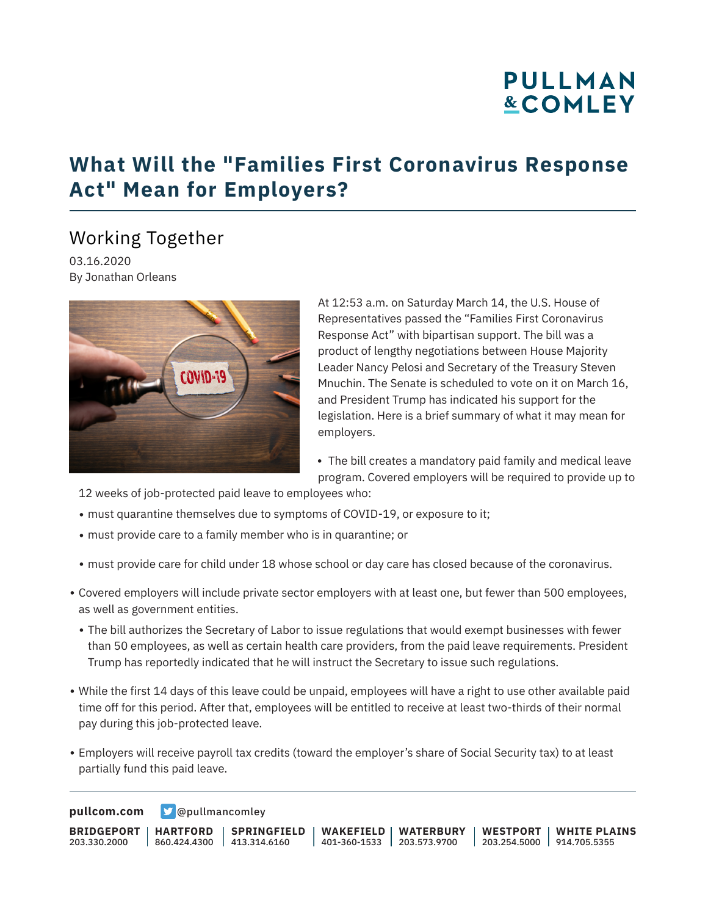# **PULLMAN &COMLEY**

### **What Will the "Families First Coronavirus Response Act" Mean for Employers?**

### Working Together

03.16.2020 By Jonathan Orleans



At 12:53 a.m. on Saturday March 14, the U.S. House of Representatives passed the "Families First Coronavirus Response Act" with bipartisan support. The bill was a product of lengthy negotiations between House Majority Leader Nancy Pelosi and Secretary of the Treasury Steven Mnuchin. The Senate is scheduled to vote on it on March 16, and President Trump has indicated his support for the legislation. Here is a brief summary of what it may mean for employers.

• The bill creates a mandatory paid family and medical leave program. Covered employers will be required to provide up to

12 weeks of job-protected paid leave to employees who:

- must quarantine themselves due to symptoms of COVID-19, or exposure to it;
- must provide care to a family member who is in quarantine; or
- must provide care for child under 18 whose school or day care has closed because of the coronavirus.
- Covered employers will include private sector employers with at least one, but fewer than 500 employees, as well as government entities.
	- The bill authorizes the Secretary of Labor to issue regulations that would exempt businesses with fewer than 50 employees, as well as certain health care providers, from the paid leave requirements. President Trump has reportedly indicated that he will instruct the Secretary to issue such regulations.
- While the first 14 days of this leave could be unpaid, employees will have a right to use other available paid time off for this period. After that, employees will be entitled to receive at least two-thirds of their normal pay during this job-protected leave.
- Employers will receive payroll tax credits (toward the employer's share of Social Security tax) to at least partially fund this paid leave.

**[pullcom.com](https://www.pullcom.com) g** [@pullmancomley](https://twitter.com/PullmanComley)

**BRIDGEPORT** 203.330.2000 **HARTFORD** 860.424.4300 413.314.6160 **SPRINGFIELD WAKEFIELD WATERBURY** 401-360-1533 203.573.9700 **WESTPORT WHITE PLAINS** 203.254.5000 914.705.5355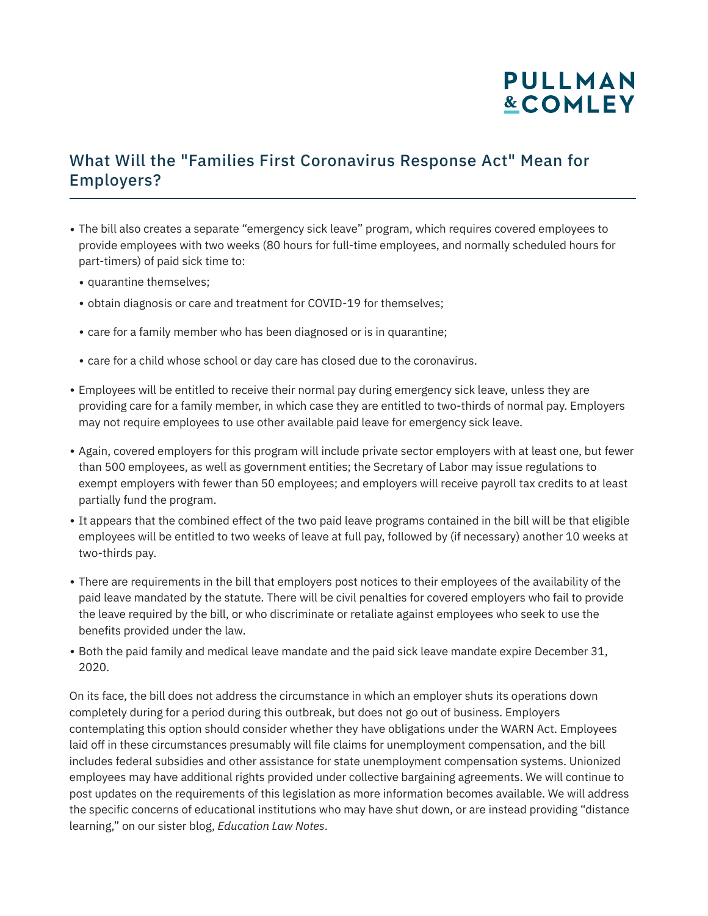## **PULLMAN &COMLEY**

#### What Will the "Families First Coronavirus Response Act" Mean for Employers?

- The bill also creates a separate "emergency sick leave" program, which requires covered employees to provide employees with two weeks (80 hours for full-time employees, and normally scheduled hours for part-timers) of paid sick time to:
	- quarantine themselves;
	- obtain diagnosis or care and treatment for COVID-19 for themselves;
	- care for a family member who has been diagnosed or is in quarantine;
	- care for a child whose school or day care has closed due to the coronavirus.
- Employees will be entitled to receive their normal pay during emergency sick leave, unless they are providing care for a family member, in which case they are entitled to two-thirds of normal pay. Employers may not require employees to use other available paid leave for emergency sick leave.
- Again, covered employers for this program will include private sector employers with at least one, but fewer than 500 employees, as well as government entities; the Secretary of Labor may issue regulations to exempt employers with fewer than 50 employees; and employers will receive payroll tax credits to at least partially fund the program.
- It appears that the combined effect of the two paid leave programs contained in the bill will be that eligible employees will be entitled to two weeks of leave at full pay, followed by (if necessary) another 10 weeks at two-thirds pay.
- There are requirements in the bill that employers post notices to their employees of the availability of the paid leave mandated by the statute. There will be civil penalties for covered employers who fail to provide the leave required by the bill, or who discriminate or retaliate against employees who seek to use the benefits provided under the law.
- Both the paid family and medical leave mandate and the paid sick leave mandate expire December 31, 2020.

On its face, the bill does not address the circumstance in which an employer shuts its operations down completely during for a period during this outbreak, but does not go out of business. Employers contemplating this option should consider whether they have obligations under the WARN Act. Employees laid off in these circumstances presumably will file claims for unemployment compensation, and the bill includes federal subsidies and other assistance for state unemployment compensation systems. Unionized employees may have additional rights provided under collective bargaining agreements. We will continue to post updates on the requirements of this legislation as more information becomes available. We will address the specific concerns of educational institutions who may have shut down, or are instead providing "distance learning," on our sister blog, *Education Law Notes*.